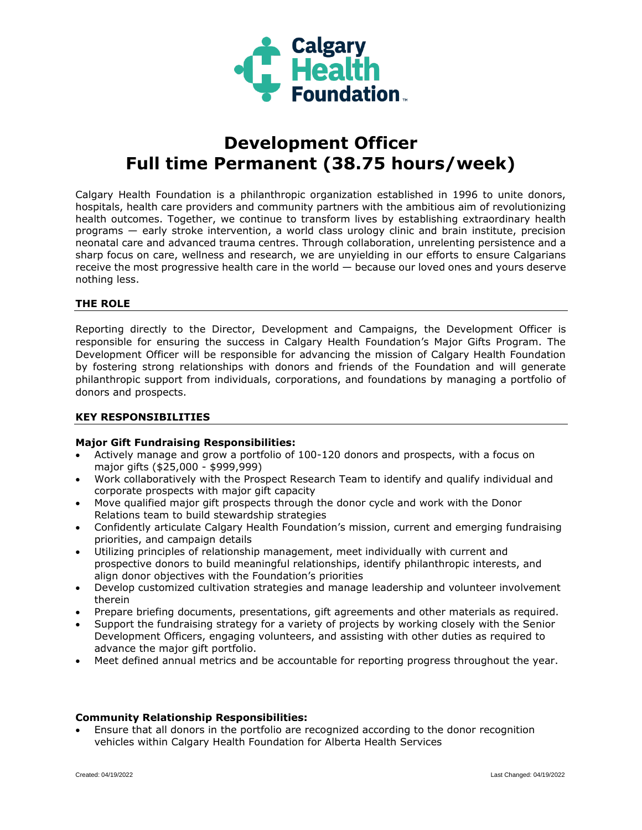

# **Development Officer Full time Permanent (38.75 hours/week)**

Calgary Health Foundation is a philanthropic organization established in 1996 to unite donors, hospitals, health care providers and community partners with the ambitious aim of revolutionizing health outcomes. Together, we continue to transform lives by establishing extraordinary health programs — early stroke intervention, a world class urology clinic and brain institute, precision neonatal care and advanced trauma centres. Through collaboration, unrelenting persistence and a sharp focus on care, wellness and research, we are unyielding in our efforts to ensure Calgarians receive the most progressive health care in the world — because our loved ones and yours deserve nothing less.

# **THE ROLE**

Reporting directly to the Director, Development and Campaigns, the Development Officer is responsible for ensuring the success in Calgary Health Foundation's Major Gifts Program. The Development Officer will be responsible for advancing the mission of Calgary Health Foundation by fostering strong relationships with donors and friends of the Foundation and will generate philanthropic support from individuals, corporations, and foundations by managing a portfolio of donors and prospects.

### **KEY RESPONSIBILITIES**

#### **Major Gift Fundraising Responsibilities:**

- Actively manage and grow a portfolio of 100-120 donors and prospects, with a focus on major gifts (\$25,000 - \$999,999)
- Work collaboratively with the Prospect Research Team to identify and qualify individual and corporate prospects with major gift capacity
- Move qualified major gift prospects through the donor cycle and work with the Donor Relations team to build stewardship strategies
- Confidently articulate Calgary Health Foundation's mission, current and emerging fundraising priorities, and campaign details
- Utilizing principles of relationship management, meet individually with current and prospective donors to build meaningful relationships, identify philanthropic interests, and align donor objectives with the Foundation's priorities
- Develop customized cultivation strategies and manage leadership and volunteer involvement therein
- Prepare briefing documents, presentations, gift agreements and other materials as required.
- Support the fundraising strategy for a variety of projects by working closely with the Senior Development Officers, engaging volunteers, and assisting with other duties as required to advance the major gift portfolio.
- Meet defined annual metrics and be accountable for reporting progress throughout the year.

#### **Community Relationship Responsibilities:**

 Ensure that all donors in the portfolio are recognized according to the donor recognition vehicles within Calgary Health Foundation for Alberta Health Services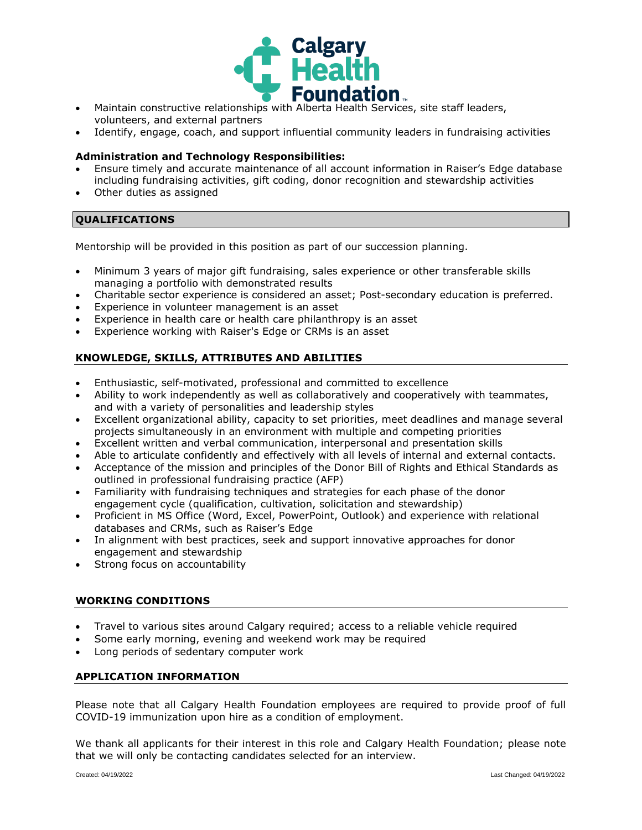

- Maintain constructive relationships with Alberta Health Services, site staff leaders, volunteers, and external partners
- Identify, engage, coach, and support influential community leaders in fundraising activities

#### **Administration and Technology Responsibilities:**

- Ensure timely and accurate maintenance of all account information in Raiser's Edge database including fundraising activities, gift coding, donor recognition and stewardship activities
- Other duties as assigned

# **QUALIFICATIONS**

Mentorship will be provided in this position as part of our succession planning.

- Minimum 3 years of major gift fundraising, sales experience or other transferable skills managing a portfolio with demonstrated results
- Charitable sector experience is considered an asset; Post-secondary education is preferred.
- Experience in volunteer management is an asset
- Experience in health care or health care philanthropy is an asset
- Experience working with Raiser's Edge or CRMs is an asset

# **KNOWLEDGE, SKILLS, ATTRIBUTES AND ABILITIES**

- Enthusiastic, self-motivated, professional and committed to excellence
- Ability to work independently as well as collaboratively and cooperatively with teammates, and with a variety of personalities and leadership styles
- Excellent organizational ability, capacity to set priorities, meet deadlines and manage several projects simultaneously in an environment with multiple and competing priorities
- Excellent written and verbal communication, interpersonal and presentation skills
- Able to articulate confidently and effectively with all levels of internal and external contacts.
- Acceptance of the mission and principles of the Donor Bill of Rights and Ethical Standards as outlined in professional fundraising practice (AFP)
- Familiarity with fundraising techniques and strategies for each phase of the donor engagement cycle (qualification, cultivation, solicitation and stewardship)
- Proficient in MS Office (Word, Excel, PowerPoint, Outlook) and experience with relational databases and CRMs, such as Raiser's Edge
- In alignment with best practices, seek and support innovative approaches for donor engagement and stewardship
- Strong focus on accountability

# **WORKING CONDITIONS**

- Travel to various sites around Calgary required; access to a reliable vehicle required
- Some early morning, evening and weekend work may be required
- Long periods of sedentary computer work

# **APPLICATION INFORMATION**

Please note that all Calgary Health Foundation employees are required to provide proof of full COVID-19 immunization upon hire as a condition of employment.

We thank all applicants for their interest in this role and Calgary Health Foundation; please note that we will only be contacting candidates selected for an interview.